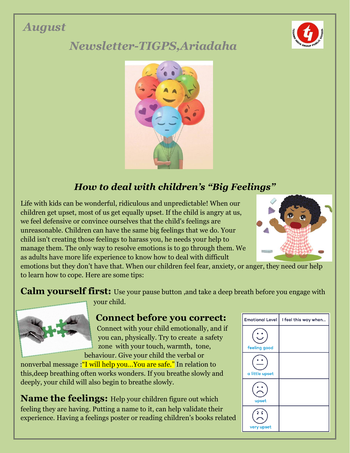# *August*



# *Newsletter-TIGPS,Ariadaha*



# *How to deal with children's "Big Feelings"*

Life with kids can be wonderful, ridiculous and unpredictable! When our children get upset, most of us get equally upset. If the child is angry at us, we feel defensive or convince ourselves that the child's feelings are unreasonable. Children can have the same big feelings that we do. Your child isn't creating those feelings to harass you, he needs your help to manage them. The only way to resolve emotions is to go through them. We as adults have more life experience to know how to deal with difficult



emotions but they don't have that. When our children feel fear, anxiety, or anger, they need our help to learn how to cope. Here are some tips:

**Calm yourself first:** Use your pause button ,and take a deep breath before you engage with your child.



#### **Connect before you correct:**

Connect with your child emotionally, and if you can, physically. Try to create a safety zone with your touch, warmth, tone, behaviour. Give your child the verbal or

nonverbal message :"I will help you…You are safe." In relation to this,deep breathing often works wonders. If you breathe slowly and deeply, your child will also begin to breathe slowly.

**Name the feelings:** Help your children figure out which feeling they are having. Putting a name to it, can help validate their experience. Having a feelings poster or reading children's books related